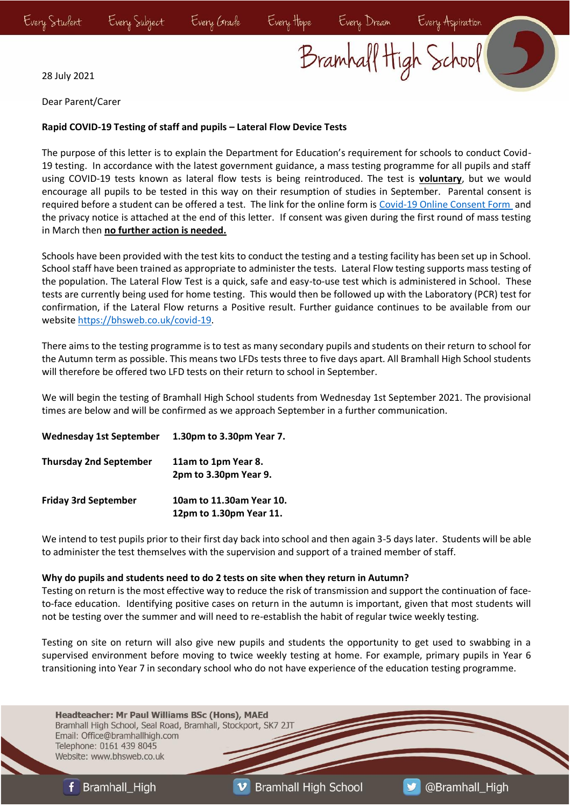Bramhall High School

28 July 2021

Dear Parent/Carer

## **Rapid COVID-19 Testing of staff and pupils – Lateral Flow Device Tests**

The purpose of this letter is to explain the Department for Education's requirement for schools to conduct Covid-19 testing. In accordance with the latest government guidance, a mass testing programme for all pupils and staff using COVID-19 tests known as lateral flow tests is being reintroduced. The test is **voluntary**, but we would encourage all pupils to be tested in this way on their resumption of studies in September. Parental consent is required before a student can be offered a test. The link for the online form is [Covid-19 Online Consent Form](https://forms.office.com/Pages/ResponsePage.aspx?id=IZxNTyvbXU625rLszEBvrvGPDuaszulMny2mSJKxZLNUOThTVElBTkZMUFUxOUZWSTM3Tlk2Q0JSWC4u) and the privacy notice is attached at the end of this letter. If consent was given during the first round of mass testing in March then **no further action is needed.**

Schools have been provided with the test kits to conduct the testing and a testing facility has been set up in School. School staff have been trained as appropriate to administer the tests. Lateral Flow testing supports mass testing of the population. The Lateral Flow Test is a quick, safe and easy-to-use test which is administered in School. These tests are currently being used for home testing. This would then be followed up with the Laboratory (PCR) test for confirmation, if the Lateral Flow returns a Positive result. Further guidance continues to be available from our website [https://bhsweb.co.uk/covid-19.](https://bhsweb.co.uk/covid-19)

There aims to the testing programme is to test as many secondary pupils and students on their return to school for the Autumn term as possible. This means two LFDs tests three to five days apart. All Bramhall High School students will therefore be offered two LFD tests on their return to school in September.

We will begin the testing of Bramhall High School students from Wednesday 1st September 2021. The provisional times are below and will be confirmed as we approach September in a further communication.

| <b>Wednesday 1st September</b> | 1.30pm to 3.30pm Year 7.                            |
|--------------------------------|-----------------------------------------------------|
| <b>Thursday 2nd September</b>  | 11am to 1pm Year 8.<br>2pm to 3.30pm Year 9.        |
| <b>Friday 3rd September</b>    | 10am to 11.30am Year 10.<br>12pm to 1.30pm Year 11. |

We intend to test pupils prior to their first day back into school and then again 3-5 days later. Students will be able to administer the test themselves with the supervision and support of a trained member of staff.

#### **Why do pupils and students need to do 2 tests on site when they return in Autumn?**

Testing on return is the most effective way to reduce the risk of transmission and support the continuation of faceto-face education. Identifying positive cases on return in the autumn is important, given that most students will not be testing over the summer and will need to re-establish the habit of regular twice weekly testing.

Testing on site on return will also give new pupils and students the opportunity to get used to swabbing in a supervised environment before moving to twice weekly testing at home. For example, primary pupils in Year 6 transitioning into Year 7 in secondary school who do not have experience of the education testing programme.

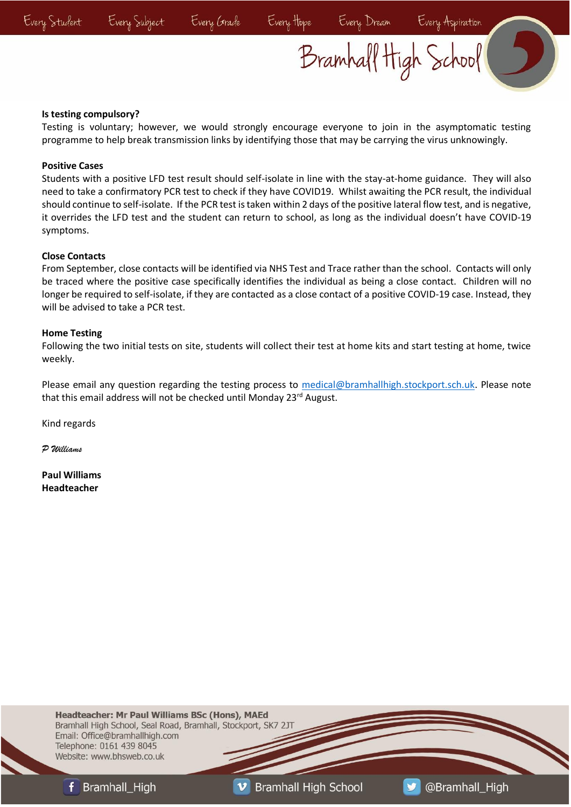## Bramhall High School

## **Is testing compulsory?**

Testing is voluntary; however, we would strongly encourage everyone to join in the asymptomatic testing programme to help break transmission links by identifying those that may be carrying the virus unknowingly.

## **Positive Cases**

Students with a positive LFD test result should self-isolate in line with the stay-at-home guidance. They will also need to take a confirmatory PCR test to check if they have COVID19. Whilst awaiting the PCR result, the individual should continue to self-isolate. If the PCR test is taken within 2 days of the positive lateral flow test, and is negative, it overrides the LFD test and the student can return to school, as long as the individual doesn't have COVID-19 symptoms.

### **Close Contacts**

From September, close contacts will be identified via NHS Test and Trace rather than the school. Contacts will only be traced where the positive case specifically identifies the individual as being a close contact. Children will no longer be required to self-isolate, if they are contacted as a close contact of a positive COVID-19 case. Instead, they will be advised to take a PCR test.

### **Home Testing**

Following the two initial tests on site, students will collect their test at home kits and start testing at home, twice weekly.

Please email any question regarding the testing process to [medical@bramhallhigh.stockport.sch.uk.](mailto:medical@bramhallhigh.stockport.sch.uk) Please note that this email address will not be checked until Monday 23<sup>rd</sup> August.

Kind regards

*P Williams*

**Paul Williams Headteacher**

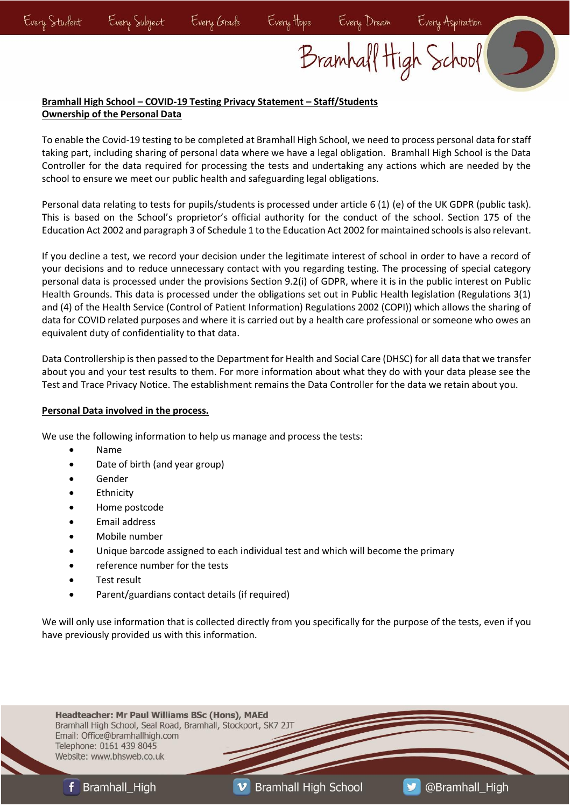# Bramhall High School

## **Bramhall High School – COVID-19 Testing Privacy Statement – Staff/Students Ownership of the Personal Data**

To enable the Covid-19 testing to be completed at Bramhall High School, we need to process personal data for staff taking part, including sharing of personal data where we have a legal obligation. Bramhall High School is the Data Controller for the data required for processing the tests and undertaking any actions which are needed by the school to ensure we meet our public health and safeguarding legal obligations.

Personal data relating to tests for pupils/students is processed under article 6 (1) (e) of the UK GDPR (public task). This is based on the School's proprietor's official authority for the conduct of the school. Section 175 of the Education Act 2002 and paragraph 3 of Schedule 1 to the Education Act 2002 for maintained schools is also relevant.

If you decline a test, we record your decision under the legitimate interest of school in order to have a record of your decisions and to reduce unnecessary contact with you regarding testing. The processing of special category personal data is processed under the provisions Section 9.2(i) of GDPR, where it is in the public interest on Public Health Grounds. This data is processed under the obligations set out in Public Health legislation (Regulations 3(1) and (4) of the Health Service (Control of Patient Information) Regulations 2002 (COPI)) which allows the sharing of data for COVID related purposes and where it is carried out by a health care professional or someone who owes an equivalent duty of confidentiality to that data.

Data Controllership is then passed to the Department for Health and Social Care (DHSC) for all data that we transfer about you and your test results to them. For more information about what they do with your data please see the Test and Trace Privacy Notice. The establishment remains the Data Controller for the data we retain about you.

## **Personal Data involved in the process.**

We use the following information to help us manage and process the tests:

- Name
- Date of birth (and year group)
- **Gender**
- **Ethnicity**
- Home postcode
- Email address
- Mobile number
- Unique barcode assigned to each individual test and which will become the primary
- reference number for the tests
- Test result
- Parent/guardians contact details (if required)

We will only use information that is collected directly from you specifically for the purpose of the tests, even if you have previously provided us with this information.

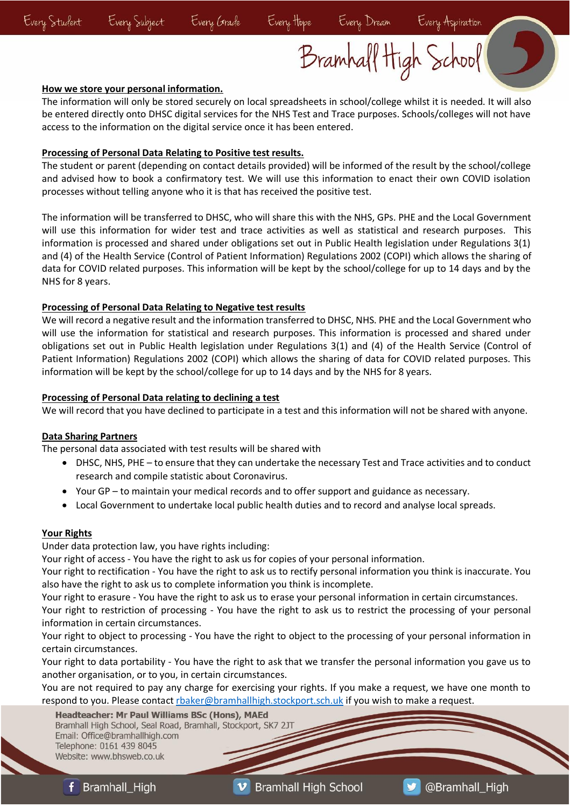Bramhall High School

#### **How we store your personal information.**

The information will only be stored securely on local spreadsheets in school/college whilst it is needed. It will also be entered directly onto DHSC digital services for the NHS Test and Trace purposes. Schools/colleges will not have access to the information on the digital service once it has been entered.

#### **Processing of Personal Data Relating to Positive test results.**

The student or parent (depending on contact details provided) will be informed of the result by the school/college and advised how to book a confirmatory test. We will use this information to enact their own COVID isolation processes without telling anyone who it is that has received the positive test.

The information will be transferred to DHSC, who will share this with the NHS, GPs. PHE and the Local Government will use this information for wider test and trace activities as well as statistical and research purposes. This information is processed and shared under obligations set out in Public Health legislation under Regulations 3(1) and (4) of the Health Service (Control of Patient Information) Regulations 2002 (COPI) which allows the sharing of data for COVID related purposes. This information will be kept by the school/college for up to 14 days and by the NHS for 8 years.

### **Processing of Personal Data Relating to Negative test results**

We will record a negative result and the information transferred to DHSC, NHS. PHE and the Local Government who will use the information for statistical and research purposes. This information is processed and shared under obligations set out in Public Health legislation under Regulations 3(1) and (4) of the Health Service (Control of Patient Information) Regulations 2002 (COPI) which allows the sharing of data for COVID related purposes. This information will be kept by the school/college for up to 14 days and by the NHS for 8 years.

### **Processing of Personal Data relating to declining a test**

We will record that you have declined to participate in a test and this information will not be shared with anyone.

## **Data Sharing Partners**

The personal data associated with test results will be shared with

- DHSC, NHS, PHE to ensure that they can undertake the necessary Test and Trace activities and to conduct research and compile statistic about Coronavirus.
- Your GP to maintain your medical records and to offer support and guidance as necessary.
- Local Government to undertake local public health duties and to record and analyse local spreads.

## **Your Rights**

Under data protection law, you have rights including:

Your right of access - You have the right to ask us for copies of your personal information.

Your right to rectification - You have the right to ask us to rectify personal information you think is inaccurate. You also have the right to ask us to complete information you think is incomplete.

Your right to erasure - You have the right to ask us to erase your personal information in certain circumstances.

Your right to restriction of processing - You have the right to ask us to restrict the processing of your personal information in certain circumstances.

Your right to object to processing - You have the right to object to the processing of your personal information in certain circumstances.

Your right to data portability - You have the right to ask that we transfer the personal information you gave us to another organisation, or to you, in certain circumstances.

You are not required to pay any charge for exercising your rights. If you make a request, we have one month to respond to you. Please contact [rbaker@bramhallhigh.stockport.sch.uk](mailto:rbaker@bramhallhigh.stockport.sch.uk) if you wish to make a request.

Headteacher: Mr Paul Williams BSc (Hons), MAEd Bramhall High School, Seal Road, Bramhall, Stockport, SK7 2JT Email: Office@bramhallhigh.com Telephone: 0161 439 8045 Website: www.bhsweb.co.uk

**Bramhall High School**